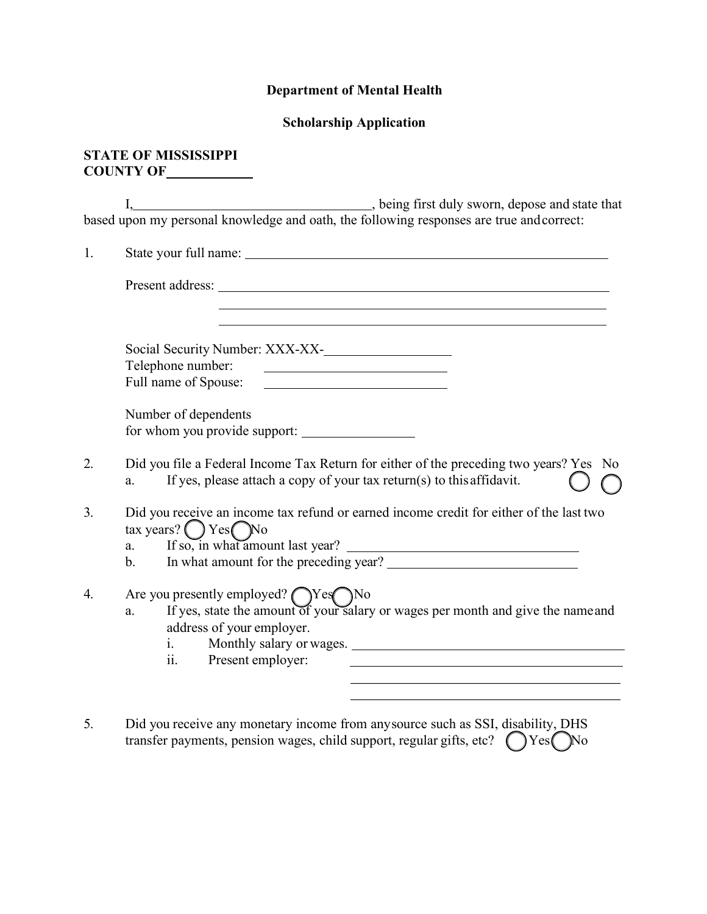## **Department of Mental Health**

## **Scholarship Application**

## **STATE OF MISSISSIPPI COUNTY OF**

I,  $\frac{1}{2}$  , being first duly sworn, depose and state that based upon my personal knowledge and oath, the following responses are true and correct:

| 1.             |                                                                                                                                                                                                                                                    |  |  |
|----------------|----------------------------------------------------------------------------------------------------------------------------------------------------------------------------------------------------------------------------------------------------|--|--|
|                | Present address: The contract of the contract of the contract of the contract of the contract of the contract of the contract of the contract of the contract of the contract of the contract of the contract of the contract                      |  |  |
|                | Social Security Number: XXX-XX-<br>Telephone number:                                                                                                                                                                                               |  |  |
|                | Number of dependents<br>for whom you provide support:                                                                                                                                                                                              |  |  |
| 2.             | Did you file a Federal Income Tax Return for either of the preceding two years? Yes No<br>If yes, please attach a copy of your tax return(s) to this affidavit.<br>a.                                                                              |  |  |
| 3 <sub>1</sub> | Did you receive an income tax refund or earned income credit for either of the last two<br>tax years? $\bigcirc$ Yes $\bigcirc$ No<br>If so, in what amount last year?<br>a.<br>In what amount for the preceding year?<br>$b_{\cdot}$              |  |  |
| 4.             | Are you presently employed? $\bigcirc$ Yes $\bigcirc$ No<br>a. If yes, state the amount of your salary or wages per month and give the name and<br>address of your employer.<br>Monthly salary or wages.<br>$i$ $\sim$<br>Present employer:<br>11. |  |  |

5. Did you receive any monetary income from any source such as SSI, disability, DHS transfer payments, pension wages, child support, regular gifts, etc?  $\bigcirc$  Yes  $\bigcirc$  No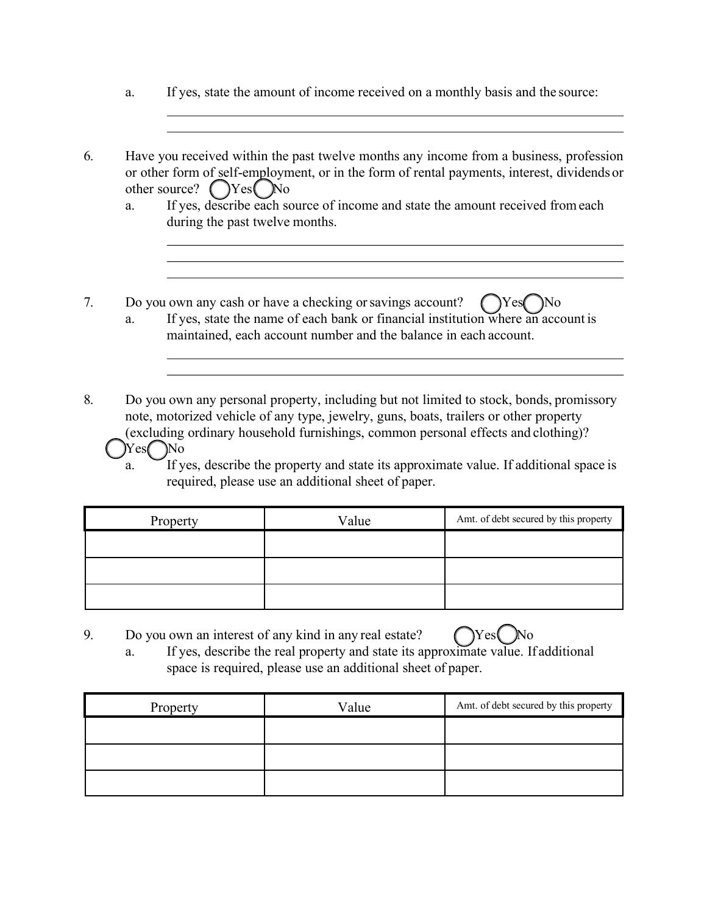- a. If yes, state the amount of income received on a monthly basis and the source:
- 6. Have you received within the past twelve months any income from a business, profession or other form of self-employment, or in the form of rental payments, interest, dividends or other source?  $\bigcap$ Yes  $\bigcap$ No
	- a. If yes, describe each source of income and state the amount received fromeach during the past twelve months.
- 7. Do you own any cash or have a checking or savings account?  $\left(\begin{array}{c} \gamma \ \end{array}\right)$  No a. If yes, state the name of each bank or financial institution where an account is
	- maintained, each account number and the balance in each account.
- 8. Do you own any personal property, including but not limited to stock, bonds, promissory note, motorized vehicle of any type, jewelry, guns, boats, trailers or other property (excluding ordinary household furnishings, common personal effects and clothing)? Yes No
	- a. If yes, describe the property and state its approximate value. If additional space is required, please use an additional sheet of paper.

| Property | Value | Amt. of debt secured by this property |
|----------|-------|---------------------------------------|
|          |       |                                       |
|          |       |                                       |
|          |       |                                       |

- 9. Do you own an interest of any kind in any real estate?  $\bigcap$  Yes  $\bigcap$  No
	- a. If yes, describe the real property and state its approximate value. If additional space is required, please use an additional sheet of paper.

| Property | Value | Amt. of debt secured by this property |
|----------|-------|---------------------------------------|
|          |       |                                       |
|          |       |                                       |
|          |       |                                       |